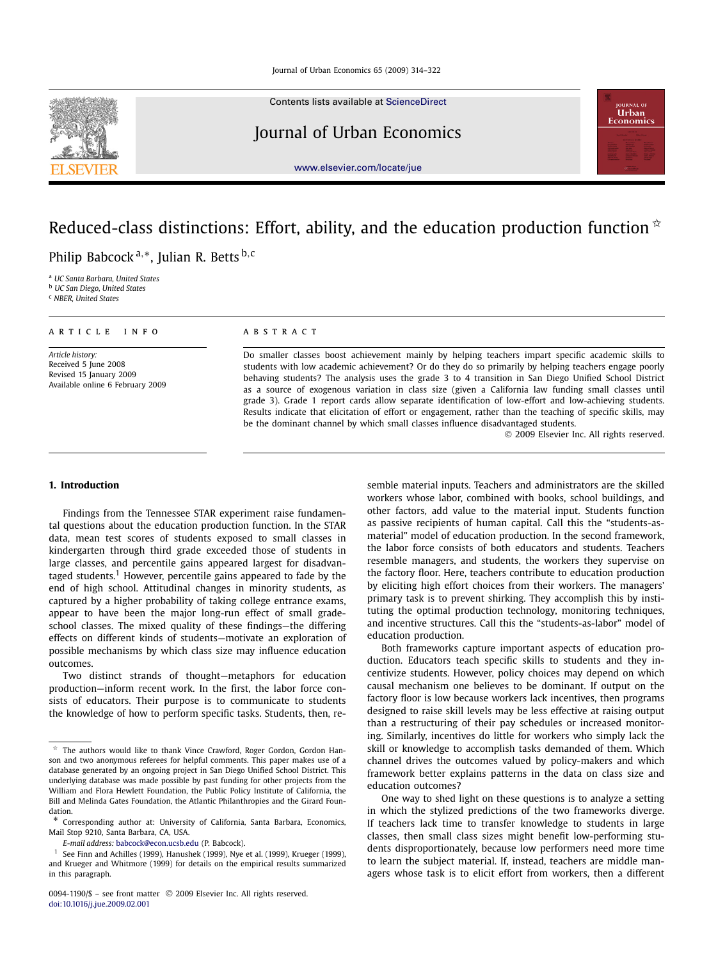Contents lists available at [ScienceDirect](http://www.ScienceDirect.com/)

# Journal of Urban Economics

[www.elsevier.com/locate/jue](http://www.elsevier.com/locate/jue)

# Reduced-class distinctions: Effort, ability, and the education production function  $\dot{x}$

Philip Babcock <sup>a</sup>*,*∗, Julian R. Betts <sup>b</sup>*,*<sup>c</sup>

<sup>a</sup> *UC Santa Barbara, United States*

<sup>b</sup> *UC San Diego, United States*

<sup>c</sup> *NBER, United States*

### article info abstract

*Article history:* Received 5 June 2008 Revised 15 January 2009 Available online 6 February 2009

Do smaller classes boost achievement mainly by helping teachers impart specific academic skills to students with low academic achievement? Or do they do so primarily by helping teachers engage poorly behaving students? The analysis uses the grade 3 to 4 transition in San Diego Unified School District as a source of exogenous variation in class size (given a California law funding small classes until grade 3). Grade 1 report cards allow separate identification of low-effort and low-achieving students. Results indicate that elicitation of effort or engagement, rather than the teaching of specific skills, may be the dominant channel by which small classes influence disadvantaged students.

© 2009 Elsevier Inc. All rights reserved.

**NAL OF** Urban **Economics** 

# **1. Introduction**

Findings from the Tennessee STAR experiment raise fundamental questions about the education production function. In the STAR data, mean test scores of students exposed to small classes in kindergarten through third grade exceeded those of students in large classes, and percentile gains appeared largest for disadvantaged students.<sup>1</sup> However, percentile gains appeared to fade by the end of high school. Attitudinal changes in minority students, as captured by a higher probability of taking college entrance exams, appear to have been the major long-run effect of small gradeschool classes. The mixed quality of these findings—the differing effects on different kinds of students—motivate an exploration of possible mechanisms by which class size may influence education outcomes.

Two distinct strands of thought—metaphors for education production—inform recent work. In the first, the labor force consists of educators. Their purpose is to communicate to students the knowledge of how to perform specific tasks. Students, then, resemble material inputs. Teachers and administrators are the skilled workers whose labor, combined with books, school buildings, and other factors, add value to the material input. Students function as passive recipients of human capital. Call this the "students-asmaterial" model of education production. In the second framework, the labor force consists of both educators and students. Teachers resemble managers, and students, the workers they supervise on the factory floor. Here, teachers contribute to education production by eliciting high effort choices from their workers. The managers' primary task is to prevent shirking. They accomplish this by instituting the optimal production technology, monitoring techniques, and incentive structures. Call this the "students-as-labor" model of education production.

Both frameworks capture important aspects of education production. Educators teach specific skills to students and they incentivize students. However, policy choices may depend on which causal mechanism one believes to be dominant. If output on the factory floor is low because workers lack incentives, then programs designed to raise skill levels may be less effective at raising output than a restructuring of their pay schedules or increased monitoring. Similarly, incentives do little for workers who simply lack the skill or knowledge to accomplish tasks demanded of them. Which channel drives the outcomes valued by policy-makers and which framework better explains patterns in the data on class size and education outcomes?

One way to shed light on these questions is to analyze a setting in which the stylized predictions of the two frameworks diverge. If teachers lack time to transfer knowledge to students in large classes, then small class sizes might benefit low-performing students disproportionately, because low performers need more time to learn the subject material. If, instead, teachers are middle managers whose task is to elicit effort from workers, then a different



 $*$  The authors would like to thank Vince Crawford, Roger Gordon, Gordon Hanson and two anonymous referees for helpful comments. This paper makes use of a database generated by an ongoing project in San Diego Unified School District. This underlying database was made possible by past funding for other projects from the William and Flora Hewlett Foundation, the Public Policy Institute of California, the Bill and Melinda Gates Foundation, the Atlantic Philanthropies and the Girard Foundation.

<sup>\*</sup> Corresponding author at: University of California, Santa Barbara, Economics, Mail Stop 9210, Santa Barbara, CA, USA.

*E-mail address:* [babcock@econ.ucsb.edu](mailto:babcock@econ.ucsb.edu) (P. Babcock).

 $1$  See Finn and Achilles (1999), Hanushek (1999), Nye et al. (1999), Krueger (1999), and Krueger and Whitmore (1999) for details on the empirical results summarized in this paragraph.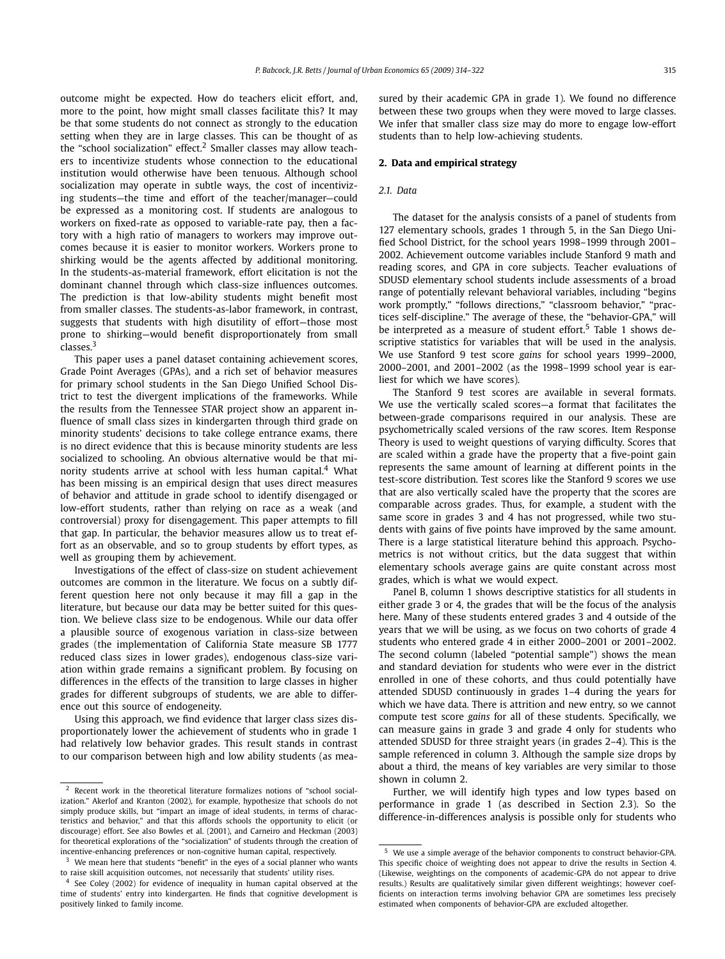outcome might be expected. How do teachers elicit effort, and, more to the point, how might small classes facilitate this? It may be that some students do not connect as strongly to the education setting when they are in large classes. This can be thought of as the "school socialization" effect.<sup>2</sup> Smaller classes may allow teachers to incentivize students whose connection to the educational institution would otherwise have been tenuous. Although school socialization may operate in subtle ways, the cost of incentivizing students—the time and effort of the teacher/manager—could be expressed as a monitoring cost. If students are analogous to workers on fixed-rate as opposed to variable-rate pay, then a factory with a high ratio of managers to workers may improve outcomes because it is easier to monitor workers. Workers prone to shirking would be the agents affected by additional monitoring. In the students-as-material framework, effort elicitation is not the dominant channel through which class-size influences outcomes. The prediction is that low-ability students might benefit most from smaller classes. The students-as-labor framework, in contrast, suggests that students with high disutility of effort—those most prone to shirking—would benefit disproportionately from small classes.<sup>3</sup>

This paper uses a panel dataset containing achievement scores, Grade Point Averages (GPAs), and a rich set of behavior measures for primary school students in the San Diego Unified School District to test the divergent implications of the frameworks. While the results from the Tennessee STAR project show an apparent influence of small class sizes in kindergarten through third grade on minority students' decisions to take college entrance exams, there is no direct evidence that this is because minority students are less socialized to schooling. An obvious alternative would be that minority students arrive at school with less human capital.<sup>4</sup> What has been missing is an empirical design that uses direct measures of behavior and attitude in grade school to identify disengaged or low-effort students, rather than relying on race as a weak (and controversial) proxy for disengagement. This paper attempts to fill that gap. In particular, the behavior measures allow us to treat effort as an observable, and so to group students by effort types, as well as grouping them by achievement.

Investigations of the effect of class-size on student achievement outcomes are common in the literature. We focus on a subtly different question here not only because it may fill a gap in the literature, but because our data may be better suited for this question. We believe class size to be endogenous. While our data offer a plausible source of exogenous variation in class-size between grades (the implementation of California State measure SB 1777 reduced class sizes in lower grades), endogenous class-size variation within grade remains a significant problem. By focusing on differences in the effects of the transition to large classes in higher grades for different subgroups of students, we are able to difference out this source of endogeneity.

Using this approach, we find evidence that larger class sizes disproportionately lower the achievement of students who in grade 1 had relatively low behavior grades. This result stands in contrast to our comparison between high and low ability students (as measured by their academic GPA in grade 1). We found no difference between these two groups when they were moved to large classes. We infer that smaller class size may do more to engage low-effort students than to help low-achieving students.

# **2. Data and empirical strategy**

# *2.1. Data*

The dataset for the analysis consists of a panel of students from 127 elementary schools, grades 1 through 5, in the San Diego Unified School District, for the school years 1998–1999 through 2001– 2002. Achievement outcome variables include Stanford 9 math and reading scores, and GPA in core subjects. Teacher evaluations of SDUSD elementary school students include assessments of a broad range of potentially relevant behavioral variables, including "begins work promptly," "follows directions," "classroom behavior," "practices self-discipline." The average of these, the "behavior-GPA," will be interpreted as a measure of student effort.<sup>5</sup> Table 1 shows descriptive statistics for variables that will be used in the analysis. We use Stanford 9 test score *gains* for school years 1999–2000, 2000–2001, and 2001–2002 (as the 1998–1999 school year is earliest for which we have scores).

The Stanford 9 test scores are available in several formats. We use the vertically scaled scores—a format that facilitates the between-grade comparisons required in our analysis. These are psychometrically scaled versions of the raw scores. Item Response Theory is used to weight questions of varying difficulty. Scores that are scaled within a grade have the property that a five-point gain represents the same amount of learning at different points in the test-score distribution. Test scores like the Stanford 9 scores we use that are also vertically scaled have the property that the scores are comparable across grades. Thus, for example, a student with the same score in grades 3 and 4 has not progressed, while two students with gains of five points have improved by the same amount. There is a large statistical literature behind this approach. Psychometrics is not without critics, but the data suggest that within elementary schools average gains are quite constant across most grades, which is what we would expect.

Panel B, column 1 shows descriptive statistics for all students in either grade 3 or 4, the grades that will be the focus of the analysis here. Many of these students entered grades 3 and 4 outside of the years that we will be using, as we focus on two cohorts of grade 4 students who entered grade 4 in either 2000–2001 or 2001–2002. The second column (labeled "potential sample") shows the mean and standard deviation for students who were ever in the district enrolled in one of these cohorts, and thus could potentially have attended SDUSD continuously in grades 1–4 during the years for which we have data. There is attrition and new entry, so we cannot compute test score *gains* for all of these students. Specifically, we can measure gains in grade 3 and grade 4 only for students who attended SDUSD for three straight years (in grades 2–4). This is the sample referenced in column 3. Although the sample size drops by about a third, the means of key variables are very similar to those shown in column 2.

Further, we will identify high types and low types based on performance in grade 1 (as described in Section 2.3). So the difference-in-differences analysis is possible only for students who

<sup>2</sup> Recent work in the theoretical literature formalizes notions of "school socialization." Akerlof and Kranton (2002), for example, hypothesize that schools do not simply produce skills, but "impart an image of ideal students, in terms of characteristics and behavior," and that this affords schools the opportunity to elicit (or discourage) effort. See also Bowles et al. (2001), and Carneiro and Heckman (2003) for theoretical explorations of the "socialization" of students through the creation of incentive-enhancing preferences or non-cognitive human capital, respectively.

We mean here that students "benefit" in the eyes of a social planner who wants to raise skill acquisition outcomes, not necessarily that students' utility rises.

 $4$  See Coley (2002) for evidence of inequality in human capital observed at the time of students' entry into kindergarten. He finds that cognitive development is positively linked to family income.

<sup>5</sup> We use a simple average of the behavior components to construct behavior-GPA. This specific choice of weighting does not appear to drive the results in Section 4. (Likewise, weightings on the components of academic-GPA do not appear to drive results.) Results are qualitatively similar given different weightings; however coefficients on interaction terms involving behavior GPA are sometimes less precisely estimated when components of behavior-GPA are excluded altogether.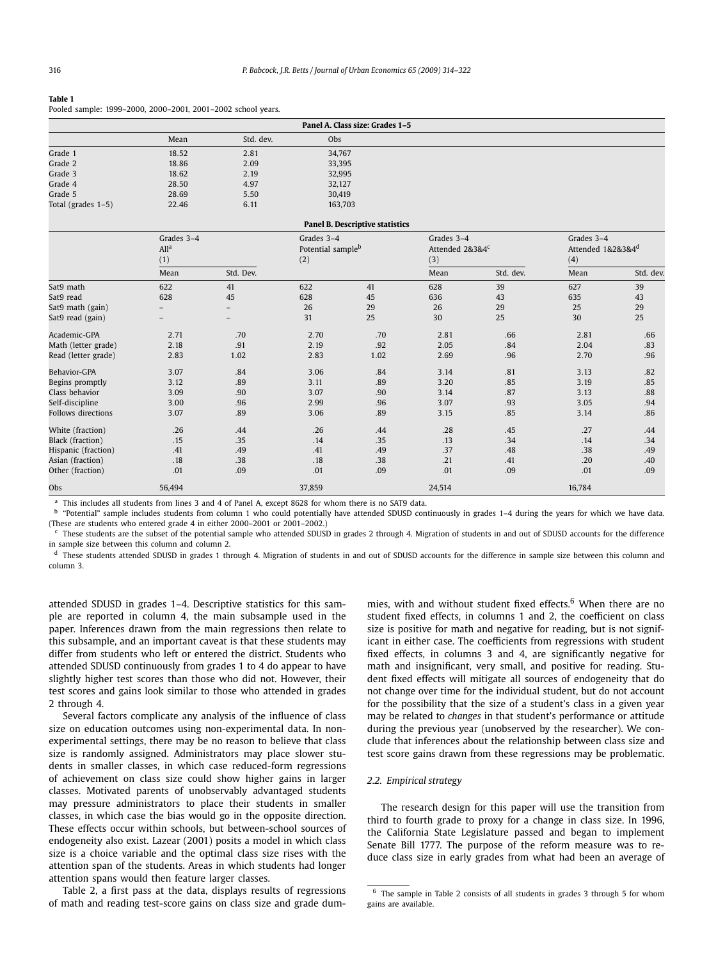Pooled sample: 1999–2000, 2000–2001, 2001–2002 school years.

| Panel A. Class size: Grades 1-5 |       |           |         |  |  |
|---------------------------------|-------|-----------|---------|--|--|
|                                 | Mean  | Std. dev. | Obs     |  |  |
| Grade 1                         | 18.52 | 2.81      | 34,767  |  |  |
| Grade 2                         | 18.86 | 2.09      | 33,395  |  |  |
| Grade 3                         | 18.62 | 2.19      | 32,995  |  |  |
| Grade 4                         | 28.50 | 4.97      | 32,127  |  |  |
| Grade 5                         | 28.69 | 5.50      | 30,419  |  |  |
| Total (grades 1-5)              | 22.46 | 6.11      | 163,703 |  |  |

**Panel B. Descriptive statistics**

|                           |                  |           |                               | Patiel D. Descriptive statistics |            |                             |            |                               |  |
|---------------------------|------------------|-----------|-------------------------------|----------------------------------|------------|-----------------------------|------------|-------------------------------|--|
|                           | Grades 3-4       |           | Grades 3-4                    |                                  | Grades 3-4 |                             | Grades 3-4 |                               |  |
|                           | All <sup>a</sup> |           | Potential sample <sup>b</sup> |                                  |            | Attended 2&3&4 <sup>c</sup> |            | Attended 1&2&3&4 <sup>d</sup> |  |
|                           | (1)              |           | (2)                           |                                  | (3)        |                             | (4)        |                               |  |
|                           | Mean             | Std. Dev. |                               |                                  | Mean       | Std. dev.                   | Mean       | Std. dev.                     |  |
| Sat9 math                 | 622              | 41        | 622                           | 41                               | 628        | 39                          | 627        | 39                            |  |
| Sat9 read                 | 628              | 45        | 628                           | 45                               | 636        | 43                          | 635        | 43                            |  |
| Sat9 math (gain)          |                  |           | 26                            | 29                               | 26         | 29                          | 25         | 29                            |  |
| Sat9 read (gain)          |                  |           | 31                            | 25                               | 30         | 25                          | 30         | 25                            |  |
| Academic-GPA              | 2.71             | .70       | 2.70                          | .70                              | 2.81       | .66                         | 2.81       | .66                           |  |
| Math (letter grade)       | 2.18             | .91       | 2.19                          | .92                              | 2.05       | .84                         | 2.04       | .83                           |  |
| Read (letter grade)       | 2.83             | 1.02      | 2.83                          | 1.02                             | 2.69       | .96                         | 2.70       | .96                           |  |
| Behavior-GPA              | 3.07             | .84       | 3.06                          | .84                              | 3.14       | .81                         | 3.13       | .82                           |  |
| Begins promptly           | 3.12             | .89       | 3.11                          | .89                              | 3.20       | .85                         | 3.19       | .85                           |  |
| Class behavior            | 3.09             | .90       | 3.07                          | .90                              | 3.14       | .87                         | 3.13       | .88                           |  |
| Self-discipline           | 3.00             | .96       | 2.99                          | .96                              | 3.07       | .93                         | 3.05       | .94                           |  |
| <b>Follows directions</b> | 3.07             | .89       | 3.06                          | .89                              | 3.15       | .85                         | 3.14       | .86                           |  |
| White (fraction)          | .26              | .44       | .26                           | .44                              | .28        | .45                         | .27        | .44                           |  |
| Black (fraction)          | .15              | .35       | .14                           | .35                              | .13        | .34                         | .14        | .34                           |  |
| Hispanic (fraction)       | .41              | .49       | .41                           | .49                              | .37        | .48                         | .38        | .49                           |  |
| Asian (fraction)          | .18              | .38       | .18                           | .38                              | .21        | .41                         | .20        | .40                           |  |
| Other (fraction)          | .01              | .09       | .01                           | .09                              | .01        | .09                         | .01        | .09                           |  |
| Obs                       | 56,494           |           | 37,859                        |                                  | 24,514     |                             | 16,784     |                               |  |

a This includes all students from lines 3 and 4 of Panel A, except 8628 for whom there is no SAT9 data.

<sup>b</sup> "Potential" sample includes students from column 1 who could potentially have attended SDUSD continuously in grades 1-4 during the years for which we have data. (These are students who entered grade 4 in either 2000–2001 or 2001–2002.)

<sup>c</sup> These students are the subset of the potential sample who attended SDUSD in grades 2 through 4. Migration of students in and out of SDUSD accounts for the difference in sample size between this column and column 2.

 $<sup>d</sup>$  These students attended SDUSD in grades 1 through 4. Migration of students in and out of SDUSD accounts for the difference in sample size between this column and</sup> column 3.

attended SDUSD in grades 1–4. Descriptive statistics for this sample are reported in column 4, the main subsample used in the paper. Inferences drawn from the main regressions then relate to this subsample, and an important caveat is that these students may differ from students who left or entered the district. Students who attended SDUSD continuously from grades 1 to 4 do appear to have slightly higher test scores than those who did not. However, their test scores and gains look similar to those who attended in grades 2 through 4.

Several factors complicate any analysis of the influence of class size on education outcomes using non-experimental data. In nonexperimental settings, there may be no reason to believe that class size is randomly assigned. Administrators may place slower students in smaller classes, in which case reduced-form regressions of achievement on class size could show higher gains in larger classes. Motivated parents of unobservably advantaged students may pressure administrators to place their students in smaller classes, in which case the bias would go in the opposite direction. These effects occur within schools, but between-school sources of endogeneity also exist. Lazear (2001) posits a model in which class size is a choice variable and the optimal class size rises with the attention span of the students. Areas in which students had longer attention spans would then feature larger classes.

Table 2, a first pass at the data, displays results of regressions of math and reading test-score gains on class size and grade dummies, with and without student fixed effects.<sup>6</sup> When there are no student fixed effects, in columns 1 and 2, the coefficient on class size is positive for math and negative for reading, but is not significant in either case. The coefficients from regressions with student fixed effects, in columns 3 and 4, are significantly negative for math and insignificant, very small, and positive for reading. Student fixed effects will mitigate all sources of endogeneity that do not change over time for the individual student, but do not account for the possibility that the size of a student's class in a given year may be related to *changes* in that student's performance or attitude during the previous year (unobserved by the researcher). We conclude that inferences about the relationship between class size and test score gains drawn from these regressions may be problematic.

# *2.2. Empirical strategy*

The research design for this paper will use the transition from third to fourth grade to proxy for a change in class size. In 1996, the California State Legislature passed and began to implement Senate Bill 1777. The purpose of the reform measure was to reduce class size in early grades from what had been an average of

<sup>6</sup> The sample in Table 2 consists of all students in grades 3 through 5 for whom gains are available.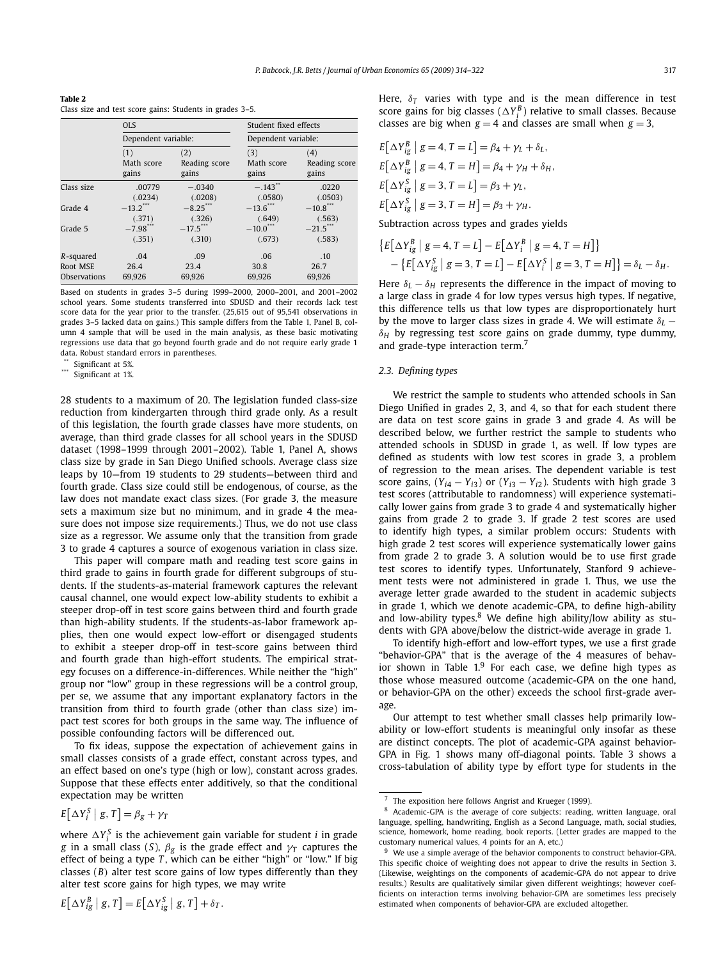**Table 2** Class size and test score gains: Students in grades 3–5.

|              | <b>OLS</b>              |                        | Student fixed effects<br>Dependent variable: |               |  |  |
|--------------|-------------------------|------------------------|----------------------------------------------|---------------|--|--|
|              | Dependent variable:     |                        |                                              |               |  |  |
|              | (1)                     | (2)                    | (3)                                          | (4)           |  |  |
|              | Math score              | Reading score          | Math score                                   | Reading score |  |  |
|              | gains                   | gains                  | gains                                        | gains         |  |  |
| Class size   | .00779                  | $-.0340$               | $-.143"$                                     | .0220         |  |  |
|              | (.0234)                 | (.0208)                | (.0580)                                      | (.0503)       |  |  |
| Grade 4      | $-13.2$ ***             | $-8.25$ ***            | $-13.6$ ***                                  | $-10.8$ ***   |  |  |
|              | (.371)                  | (.326)                 | (.649)                                       | (.563)        |  |  |
| Grade 5      | $-7.98$ <sup>****</sup> | $-17.5$ <sup>***</sup> | $-10.0$ <sup>***</sup>                       | $-21.5$       |  |  |
|              | (.351)                  | (.310)                 | (.673)                                       | (.583)        |  |  |
| R-squared    | .04                     | .09                    | .06                                          | .10           |  |  |
| Root MSE     | 26.4                    | 23.4                   | 30.8                                         | 26.7          |  |  |
| Observations | 69.926                  | 69.926                 | 69.926                                       | 69.926        |  |  |

Based on students in grades 3–5 during 1999–2000, 2000–2001, and 2001–2002 school years. Some students transferred into SDUSD and their records lack test score data for the year prior to the transfer. (25,615 out of 95,541 observations in grades 3–5 lacked data on gains.) This sample differs from the Table 1, Panel B, column 4 sample that will be used in the main analysis, as these basic motivating regressions use data that go beyond fourth grade and do not require early grade 1 data. Robust standard errors in parentheses.

Significant at 5%.

\*\*\* Significant at 1%.

28 students to a maximum of 20. The legislation funded class-size reduction from kindergarten through third grade only. As a result of this legislation, the fourth grade classes have more students, on average, than third grade classes for all school years in the SDUSD dataset (1998–1999 through 2001–2002). Table 1, Panel A, shows class size by grade in San Diego Unified schools. Average class size leaps by 10—from 19 students to 29 students—between third and fourth grade. Class size could still be endogenous, of course, as the law does not mandate exact class sizes. (For grade 3, the measure sets a maximum size but no minimum, and in grade 4 the measure does not impose size requirements.) Thus, we do not use class size as a regressor. We assume only that the transition from grade 3 to grade 4 captures a source of exogenous variation in class size.

This paper will compare math and reading test score gains in third grade to gains in fourth grade for different subgroups of students. If the students-as-material framework captures the relevant causal channel, one would expect low-ability students to exhibit a steeper drop-off in test score gains between third and fourth grade than high-ability students. If the students-as-labor framework applies, then one would expect low-effort or disengaged students to exhibit a steeper drop-off in test-score gains between third and fourth grade than high-effort students. The empirical strategy focuses on a difference-in-differences. While neither the "high" group nor "low" group in these regressions will be a control group, per se, we assume that any important explanatory factors in the transition from third to fourth grade (other than class size) impact test scores for both groups in the same way. The influence of possible confounding factors will be differenced out.

To fix ideas, suppose the expectation of achievement gains in small classes consists of a grade effect, constant across types, and an effect based on one's type (high or low), constant across grades. Suppose that these effects enter additively, so that the conditional expectation may be written

$$
E\big[\Delta Y_i^S \mid g, T\big] = \beta_g + \gamma_T
$$

where  $\Delta Y_i^S$  is the achievement gain variable for student *i* in grade *g* in a small class (*S*), *β<sup>g</sup>* is the grade effect and *γ<sup>T</sup>* captures the effect of being a type *T* , which can be either "high" or "low." If big classes (*B)* alter test score gains of low types differently than they alter test score gains for high types, we may write

Here,  $\delta$ <sup>T</sup> varies with type and is the mean difference in test score gains for big classes  $(\Delta Y_i^B)$  relative to small classes. Because classes are big when  $g = 4$  and classes are small when  $g = 3$ ,

$$
E[\Delta Y_{ig}^{B} | g = 4, T = L] = \beta_4 + \gamma_L + \delta_L,
$$
  
\n
$$
E[\Delta Y_{ig}^{B} | g = 4, T = H] = \beta_4 + \gamma_H + \delta_H,
$$
  
\n
$$
E[\Delta Y_{ig}^{S} | g = 3, T = L] = \beta_3 + \gamma_L,
$$
  
\n
$$
E[\Delta Y_{ig}^{S} | g = 3, T = H] = \beta_3 + \gamma_H.
$$

Subtraction across types and grades yields

$$
\{E[\Delta Y_{ig}^B \mid g=4, T=L] - E[\Delta Y_i^B \mid g=4, T=H]\}
$$
  
 
$$
- \{E[\Delta Y_{ig}^S \mid g=3, T=L] - E[\Delta Y_i^S \mid g=3, T=H]\} = \delta_L - \delta_H.
$$

Here  $\delta_L - \delta_H$  represents the difference in the impact of moving to a large class in grade 4 for low types versus high types. If negative, this difference tells us that low types are disproportionately hurt by the move to larger class sizes in grade 4. We will estimate *δ<sup>L</sup>* − *δ<sup>H</sup>* by regressing test score gains on grade dummy, type dummy, and grade-type interaction term.<sup>7</sup>

# *2.3. Defining types*

We restrict the sample to students who attended schools in San Diego Unified in grades 2, 3, and 4, so that for each student there are data on test score gains in grade 3 and grade 4. As will be described below, we further restrict the sample to students who attended schools in SDUSD in grade 1, as well. If low types are defined as students with low test scores in grade 3, a problem of regression to the mean arises. The dependent variable is test score gains,  $(Y_{i4} - Y_{i3})$  or  $(Y_{i3} - Y_{i2})$ . Students with high grade 3 test scores (attributable to randomness) will experience systematically lower gains from grade 3 to grade 4 and systematically higher gains from grade 2 to grade 3. If grade 2 test scores are used to identify high types, a similar problem occurs: Students with high grade 2 test scores will experience systematically lower gains from grade 2 to grade 3. A solution would be to use first grade test scores to identify types. Unfortunately, Stanford 9 achievement tests were not administered in grade 1. Thus, we use the average letter grade awarded to the student in academic subjects in grade 1, which we denote academic-GPA, to define high-ability and low-ability types. $8$  We define high ability/low ability as students with GPA above/below the district-wide average in grade 1.

To identify high-effort and low-effort types, we use a first grade "behavior-GPA" that is the average of the 4 measures of behavior shown in Table  $1.9$  For each case, we define high types as those whose measured outcome (academic-GPA on the one hand, or behavior-GPA on the other) exceeds the school first-grade average.

Our attempt to test whether small classes help primarily lowability or low-effort students is meaningful only insofar as these are distinct concepts. The plot of academic-GPA against behavior-GPA in Fig. 1 shows many off-diagonal points. Table 3 shows a cross-tabulation of ability type by effort type for students in the

$$
E[\Delta Y_{ig}^{B} | g, T] = E[\Delta Y_{ig}^{S} | g, T] + \delta_{T}.
$$

<sup>7</sup> The exposition here follows Angrist and Krueger (1999).

Academic-GPA is the average of core subjects: reading, written language, oral language, spelling, handwriting, English as a Second Language, math, social studies, science, homework, home reading, book reports. (Letter grades are mapped to the customary numerical values, 4 points for an A, etc.)

<sup>&</sup>lt;sup>9</sup> We use a simple average of the behavior components to construct behavior-GPA. This specific choice of weighting does not appear to drive the results in Section 3. (Likewise, weightings on the components of academic-GPA do not appear to drive results.) Results are qualitatively similar given different weightings; however coefficients on interaction terms involving behavior-GPA are sometimes less precisely estimated when components of behavior-GPA are excluded altogether.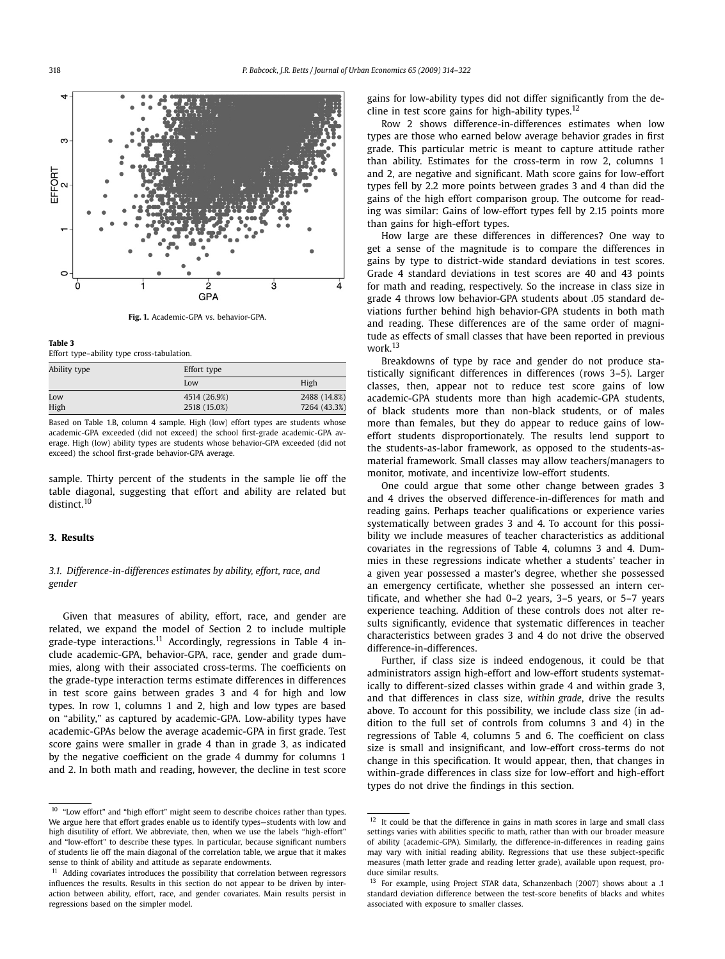

**Fig. 1.** Academic-GPA vs. behavior-GPA.

**Table 3**

Effort type–ability type cross-tabulation.

| Ability type | Effort type  |              |  |  |  |
|--------------|--------------|--------------|--|--|--|
|              | Low          | High         |  |  |  |
| Low          | 4514 (26.9%) | 2488 (14.8%) |  |  |  |
| High         | 2518 (15.0%) | 7264 (43.3%) |  |  |  |

Based on Table 1.B, column 4 sample. High (low) effort types are students whose academic-GPA exceeded (did not exceed) the school first-grade academic-GPA average. High (low) ability types are students whose behavior-GPA exceeded (did not exceed) the school first-grade behavior-GPA average.

sample. Thirty percent of the students in the sample lie off the table diagonal, suggesting that effort and ability are related but distinct.<sup>10</sup>

# **3. Results**

*3.1. Difference-in-differences estimates by ability, effort, race, and gender*

Given that measures of ability, effort, race, and gender are related, we expand the model of Section 2 to include multiple grade-type interactions.<sup>11</sup> Accordingly, regressions in Table 4 include academic-GPA, behavior-GPA, race, gender and grade dummies, along with their associated cross-terms. The coefficients on the grade-type interaction terms estimate differences in differences in test score gains between grades 3 and 4 for high and low types. In row 1, columns 1 and 2, high and low types are based on "ability," as captured by academic-GPA. Low-ability types have academic-GPAs below the average academic-GPA in first grade. Test score gains were smaller in grade 4 than in grade 3, as indicated by the negative coefficient on the grade 4 dummy for columns 1 and 2. In both math and reading, however, the decline in test score

gains for low-ability types did not differ significantly from the decline in test score gains for high-ability types.<sup>12</sup>

Row 2 shows difference-in-differences estimates when low types are those who earned below average behavior grades in first grade. This particular metric is meant to capture attitude rather than ability. Estimates for the cross-term in row 2, columns 1 and 2, are negative and significant. Math score gains for low-effort types fell by 2.2 more points between grades 3 and 4 than did the gains of the high effort comparison group. The outcome for reading was similar: Gains of low-effort types fell by 2.15 points more than gains for high-effort types.

How large are these differences in differences? One way to get a sense of the magnitude is to compare the differences in gains by type to district-wide standard deviations in test scores. Grade 4 standard deviations in test scores are 40 and 43 points for math and reading, respectively. So the increase in class size in grade 4 throws low behavior-GPA students about .05 standard deviations further behind high behavior-GPA students in both math and reading. These differences are of the same order of magnitude as effects of small classes that have been reported in previous work.<sup>13</sup>

Breakdowns of type by race and gender do not produce statistically significant differences in differences (rows 3–5). Larger classes, then, appear not to reduce test score gains of low academic-GPA students more than high academic-GPA students, of black students more than non-black students, or of males more than females, but they do appear to reduce gains of loweffort students disproportionately. The results lend support to the students-as-labor framework, as opposed to the students-asmaterial framework. Small classes may allow teachers/managers to monitor, motivate, and incentivize low-effort students.

One could argue that some other change between grades 3 and 4 drives the observed difference-in-differences for math and reading gains. Perhaps teacher qualifications or experience varies systematically between grades 3 and 4. To account for this possibility we include measures of teacher characteristics as additional covariates in the regressions of Table 4, columns 3 and 4. Dummies in these regressions indicate whether a students' teacher in a given year possessed a master's degree, whether she possessed an emergency certificate, whether she possessed an intern certificate, and whether she had 0–2 years, 3–5 years, or 5–7 years experience teaching. Addition of these controls does not alter results significantly, evidence that systematic differences in teacher characteristics between grades 3 and 4 do not drive the observed difference-in-differences.

Further, if class size is indeed endogenous, it could be that administrators assign high-effort and low-effort students systematically to different-sized classes within grade 4 and within grade 3, and that differences in class size, *within grade*, drive the results above. To account for this possibility, we include class size (in addition to the full set of controls from columns 3 and 4) in the regressions of Table 4, columns 5 and 6. The coefficient on class size is small and insignificant, and low-effort cross-terms do not change in this specification. It would appear, then, that changes in within-grade differences in class size for low-effort and high-effort types do not drive the findings in this section.

 $^{10}$  "Low effort" and "high effort" might seem to describe choices rather than types. We argue here that effort grades enable us to identify types—students with low and high disutility of effort. We abbreviate, then, when we use the labels "high-effort" and "low-effort" to describe these types. In particular, because significant numbers of students lie off the main diagonal of the correlation table, we argue that it makes sense to think of ability and attitude as separate endowments.

 $11$  Adding covariates introduces the possibility that correlation between regressors influences the results. Results in this section do not appear to be driven by interaction between ability, effort, race, and gender covariates. Main results persist in regressions based on the simpler model.

 $12$  It could be that the difference in gains in math scores in large and small class settings varies with abilities specific to math, rather than with our broader measure of ability (academic-GPA). Similarly, the difference-in-differences in reading gains may vary with initial reading ability. Regressions that use these subject-specific measures (math letter grade and reading letter grade), available upon request, produce similar results.

<sup>13</sup> For example, using Project STAR data, Schanzenbach (2007) shows about a .1 standard deviation difference between the test-score benefits of blacks and whites associated with exposure to smaller classes.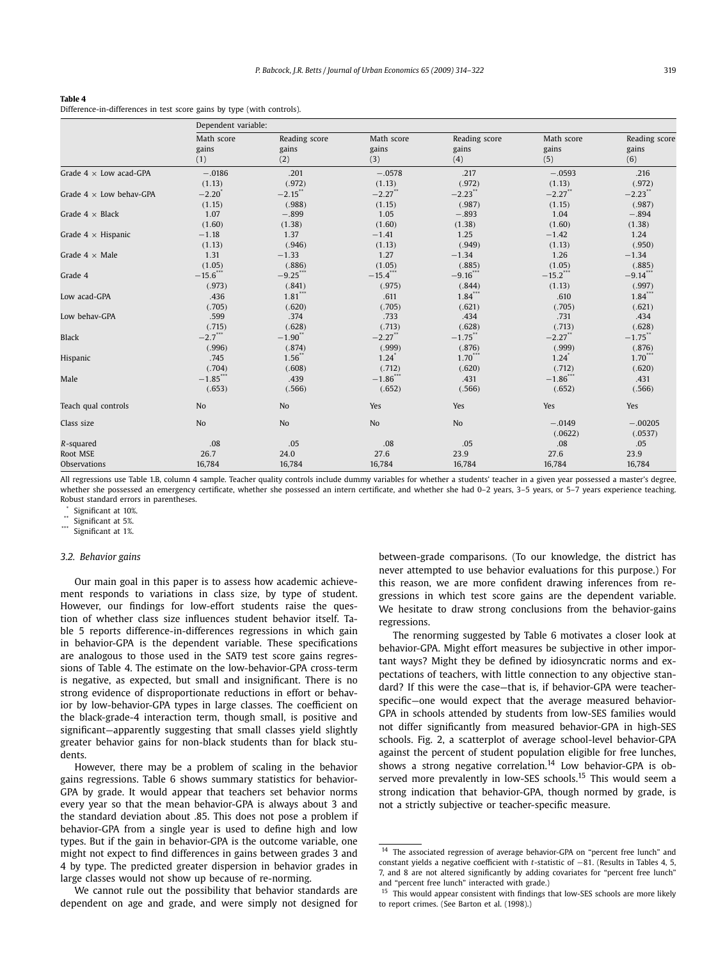Difference-in-differences in test score gains by type (with controls).

|                                | Dependent variable: |                        |                     |                        |                     |                        |  |
|--------------------------------|---------------------|------------------------|---------------------|------------------------|---------------------|------------------------|--|
|                                | Math score<br>gains | Reading score<br>gains | Math score<br>gains | Reading score<br>gains | Math score<br>gains | Reading score<br>gains |  |
|                                | (1)                 | (2)                    | (3)                 | (4)                    | (5)                 | (6)                    |  |
| Grade $4 \times$ Low acad-GPA  | $-.0186$            | .201                   | $-.0578$            | .217                   | $-.0593$            | .216                   |  |
|                                | (1.13)              | (.972)                 | (1.13)              | (.972)                 | (1.13)              | (.972)                 |  |
| Grade $4 \times$ Low behav-GPA | $-2.20$             | $-2.15$                | $-2.27$ **          | $-2.23$ **             | $-2.27$ **          | $-2.23$ **             |  |
|                                | (1.15)              | (.988)                 | (1.15)              | (.987)                 | (1.15)              | (.987)                 |  |
| Grade $4 \times$ Black         | 1.07                | $-.899$                | 1.05                | $-.893$                | 1.04                | $-.894$                |  |
|                                | (1.60)              | (1.38)                 | (1.60)              | (1.38)                 | (1.60)              | (1.38)                 |  |
| Grade $4 \times$ Hispanic      | $-1.18$             | 1.37                   | $-1.41$             | 1.25                   | $-1.42$             | 1.24                   |  |
|                                | (1.13)              | (.946)                 | (1.13)              | (.949)                 | (1.13)              | (.950)                 |  |
| Grade $4 \times$ Male          | 1.31                | $-1.33$                | 1.27                | $-1.34$                | 1.26                | $-1.34$                |  |
|                                | (1.05)              | (.886)                 | (1.05)              | (.885)                 | (1.05)              | (.885)                 |  |
| Grade 4                        | $-15.6$ ***         | $-9.25***$             | $-15.4$ ***         | $-9.16$ ***            | $-15.2$ ***         | $-9.14$ ***            |  |
|                                | (.973)              | (.841)                 | (.975)              | (.844)                 | (1.13)              | (.997)                 |  |
| Low acad-GPA                   | .436                | $1.81***$              | .611                | $1.84***$              | .610                | $1.84$ ***             |  |
|                                | (.705)              | (.620)                 | (.705)              | (.621)                 | (.705)              | (.621)                 |  |
| Low behav-GPA                  | .599                | .374                   | .733                | .434                   | .731                | .434                   |  |
|                                | (.715)              | (.628)                 | (.713)              | (.628)                 | (.713)              | (.628)                 |  |
| <b>Black</b>                   | $-2.7***$           | $-1.90$ **             | $-2.27$ **          | $-1.75$ **             | $-2.27$ **          | $-1.75$ **             |  |
|                                | (.996)              | (.874)                 | (.999)              | (.876)                 | (.999)              | (.876)                 |  |
| Hispanic                       | .745                | $1.56$ **              | $1.24$ <sup>*</sup> | $1.70***$              | $1.24$ <sup>*</sup> | $1.70***$              |  |
|                                | (.704)              | (.608)                 | (.712)              | (.620)                 | (.712)              | (.620)                 |  |
| Male                           | $-1.85$ ***         | .439                   | $-1.86$ ***         | .431                   | $-1.86$ ***         | .431                   |  |
|                                | (.653)              | (.566)                 | (.652)              | (.566)                 | (.652)              | (.566)                 |  |
| Teach qual controls            | No                  | No                     | Yes                 | Yes                    | Yes                 | Yes                    |  |
| Class size                     | N <sub>o</sub>      | N <sub>o</sub>         | N <sub>o</sub>      | N <sub>o</sub>         | $-.0149$            | $-.00205$              |  |
|                                |                     |                        |                     |                        | (.0622)             | (.0537)                |  |
| $R$ -squared                   | .08                 | .05                    | .08                 | .05                    | .08                 | .05                    |  |
| Root MSE                       | 26.7                | 24.0                   | 27.6                | 23.9                   | 27.6                | 23.9                   |  |
| Observations                   | 16,784              | 16,784                 | 16,784              | 16,784                 | 16,784              | 16,784                 |  |

All regressions use Table 1.B, column 4 sample. Teacher quality controls include dummy variables for whether a students' teacher in a given year possessed a master's degree, whether she possessed an emergency certificate, whether she possessed an intern certificate, and whether she had 0-2 years, 3-5 years, or 5-7 years experience teaching. Robust standard errors in parentheses.

 $\frac{1}{2}$  Significant at 10%.

\*\* Significant at 5%.

Significant at 1%.

# *3.2. Behavior gains*

Our main goal in this paper is to assess how academic achievement responds to variations in class size, by type of student. However, our findings for low-effort students raise the question of whether class size influences student behavior itself. Table 5 reports difference-in-differences regressions in which gain in behavior-GPA is the dependent variable. These specifications are analogous to those used in the SAT9 test score gains regressions of Table 4. The estimate on the low-behavior-GPA cross-term is negative, as expected, but small and insignificant. There is no strong evidence of disproportionate reductions in effort or behavior by low-behavior-GPA types in large classes. The coefficient on the black-grade-4 interaction term, though small, is positive and significant—apparently suggesting that small classes yield slightly greater behavior gains for non-black students than for black students.

However, there may be a problem of scaling in the behavior gains regressions. Table 6 shows summary statistics for behavior-GPA by grade. It would appear that teachers set behavior norms every year so that the mean behavior-GPA is always about 3 and the standard deviation about .85. This does not pose a problem if behavior-GPA from a single year is used to define high and low types. But if the gain in behavior-GPA is the outcome variable, one might not expect to find differences in gains between grades 3 and 4 by type. The predicted greater dispersion in behavior grades in large classes would not show up because of re-norming.

We cannot rule out the possibility that behavior standards are dependent on age and grade, and were simply not designed for between-grade comparisons. (To our knowledge, the district has never attempted to use behavior evaluations for this purpose.) For this reason, we are more confident drawing inferences from regressions in which test score gains are the dependent variable. We hesitate to draw strong conclusions from the behavior-gains regressions.

The renorming suggested by Table 6 motivates a closer look at behavior-GPA. Might effort measures be subjective in other important ways? Might they be defined by idiosyncratic norms and expectations of teachers, with little connection to any objective standard? If this were the case—that is, if behavior-GPA were teacherspecific—one would expect that the average measured behavior-GPA in schools attended by students from low-SES families would not differ significantly from measured behavior-GPA in high-SES schools. Fig. 2, a scatterplot of average school-level behavior-GPA against the percent of student population eligible for free lunches, shows a strong negative correlation.<sup>14</sup> Low behavior-GPA is observed more prevalently in low-SES schools.<sup>15</sup> This would seem a strong indication that behavior-GPA, though normed by grade, is not a strictly subjective or teacher-specific measure.

<sup>&</sup>lt;sup>14</sup> The associated regression of average behavior-GPA on "percent free lunch" and constant yields a negative coefficient with *t*-statistic of −81. (Results in Tables 4, 5, 7, and 8 are not altered significantly by adding covariates for "percent free lunch" and "percent free lunch" interacted with grade.)

<sup>&</sup>lt;sup>15</sup> This would appear consistent with findings that low-SES schools are more likely to report crimes. (See Barton et al. (1998).)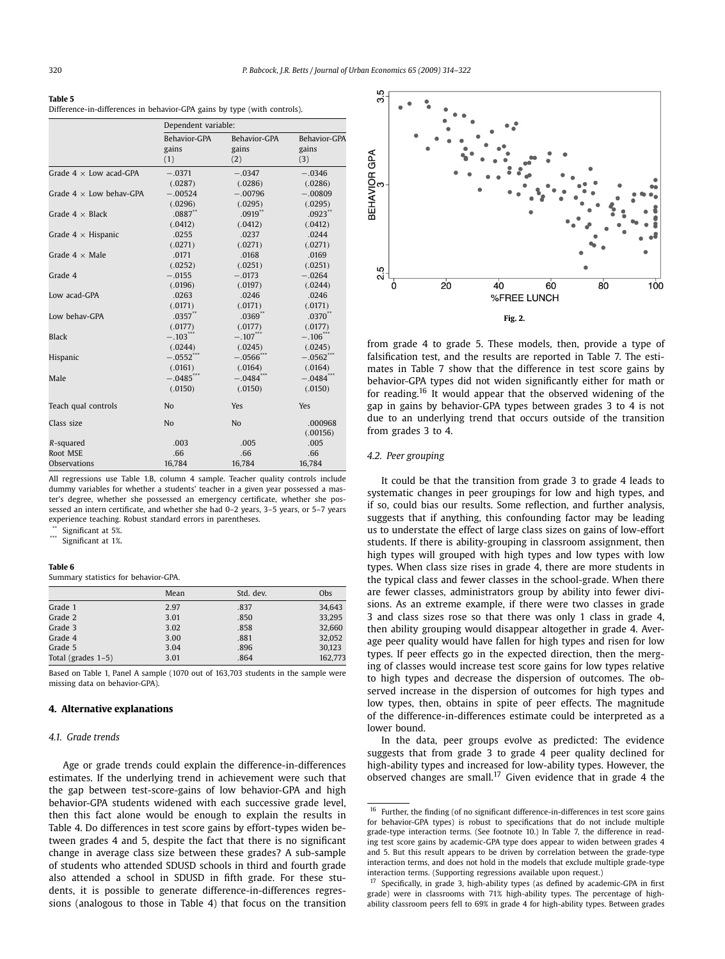| Difference-in-differences in behavior-GPA gains by type (with controls). |  |  |  |  |  |  |  |  |
|--------------------------------------------------------------------------|--|--|--|--|--|--|--|--|
|--------------------------------------------------------------------------|--|--|--|--|--|--|--|--|

|                                |                       | Dependent variable:    |                       |  |  |  |
|--------------------------------|-----------------------|------------------------|-----------------------|--|--|--|
|                                | Behavior-GPA          | Behavior-GPA           | Behavior-GPA          |  |  |  |
|                                | gains                 | gains                  | gains                 |  |  |  |
|                                | (1)                   | (2)                    | (3)                   |  |  |  |
| Grade $4 \times$ Low acad-GPA  | $-.0371$              | $-.0347$               | $-.0346$              |  |  |  |
|                                | (.0287)               | (.0286)                | (.0286)               |  |  |  |
| Grade $4 \times$ Low behav-GPA | $-.00524$             | $-.00796$              | $-.00809$             |  |  |  |
|                                | (.0296)               | (.0295)                | (.0295)               |  |  |  |
| Grade $4 \times$ Black         | $.0887$ <sup>**</sup> | $.0919$ <sup>**</sup>  | $.0923$ <sup>**</sup> |  |  |  |
|                                | (.0412)               | (.0412)                | (.0412)               |  |  |  |
| Grade $4 \times$ Hispanic      | .0255                 | .0237                  | .0244                 |  |  |  |
|                                | (.0271)               | (.0271)                | (.0271)               |  |  |  |
| Grade $4 \times$ Male          | .0171                 | .0168                  | .0169                 |  |  |  |
|                                | (.0252)               | (.0251)                | (.0251)               |  |  |  |
| Grade 4                        | $-.0155$              | $-.0173$               | $-.0264$              |  |  |  |
|                                | (.0196)               | (.0197)                | (.0244)               |  |  |  |
| Low acad-GPA                   | .0263                 | .0246                  | .0246                 |  |  |  |
|                                | (.0171)               | (.0171)                | (.0171)               |  |  |  |
| Low behav-GPA                  | $.0357$ <sup>**</sup> | $.0369$ <sup>**</sup>  | .0370                 |  |  |  |
|                                | (.0177)               | (.0177)                | (.0177)               |  |  |  |
| <b>Black</b>                   | $-.103$ <sup>*</sup>  | $-.107$ <sup>***</sup> | $-.106$ <sup>**</sup> |  |  |  |
|                                | (.0244)               | (.0245)                | (.0245)               |  |  |  |
| Hispanic                       | $-.0552"$             | $-.0566^*$             | $-.0562$ <sup>*</sup> |  |  |  |
|                                | (.0161)               | (.0164)                | (.0164)               |  |  |  |
| Male                           | $-.0485$              | $-.0484$ <sup>*</sup>  | $-.0484$ <sup>*</sup> |  |  |  |
|                                | (.0150)               | (.0150)                | (.0150)               |  |  |  |
| Teach qual controls            | N <sub>0</sub>        | Yes                    | Yes                   |  |  |  |
| Class size                     | N <sub>0</sub>        | N <sub>0</sub>         | .000968               |  |  |  |
|                                |                       |                        | (.00156)              |  |  |  |
| R-squared                      | .003                  | .005                   | .005                  |  |  |  |
| Root MSE                       | .66                   | .66                    | .66                   |  |  |  |
| <b>Observations</b>            | 16,784                | 16,784                 | 16,784                |  |  |  |

All regressions use Table 1.B, column 4 sample. Teacher quality controls include dummy variables for whether a students' teacher in a given year possessed a master's degree, whether she possessed an emergency certificate, whether she possessed an intern certificate, and whether she had 0–2 years, 3–5 years, or 5–7 years experience teaching. Robust standard errors in parentheses.

\*\*\* Significant at 5%.

Significant at 1%.

# **Table 6**

Summary statistics for behavior-GPA.

|                       | Mean | Std. dev. | Obs     |
|-----------------------|------|-----------|---------|
| Grade 1               | 2.97 | .837      | 34,643  |
| Grade 2               | 3.01 | .850      | 33.295  |
| Grade 3               | 3.02 | .858      | 32.660  |
| Grade 4               | 3.00 | .881      | 32,052  |
| Grade 5               | 3.04 | .896      | 30.123  |
| Total (grades $1-5$ ) | 3.01 | .864      | 162,773 |

Based on Table 1, Panel A sample (1070 out of 163,703 students in the sample were missing data on behavior-GPA).

# **4. Alternative explanations**

# *4.1. Grade trends*

Age or grade trends could explain the difference-in-differences estimates. If the underlying trend in achievement were such that the gap between test-score-gains of low behavior-GPA and high behavior-GPA students widened with each successive grade level, then this fact alone would be enough to explain the results in Table 4. Do differences in test score gains by effort-types widen between grades 4 and 5, despite the fact that there is no significant change in average class size between these grades? A sub-sample of students who attended SDUSD schools in third and fourth grade also attended a school in SDUSD in fifth grade. For these students, it is possible to generate difference-in-differences regressions (analogous to those in Table 4) that focus on the transition



from grade 4 to grade 5. These models, then, provide a type of falsification test, and the results are reported in Table 7. The estimates in Table 7 show that the difference in test score gains by behavior-GPA types did not widen significantly either for math or for reading.<sup>16</sup> It would appear that the observed widening of the gap in gains by behavior-GPA types between grades 3 to 4 is not due to an underlying trend that occurs outside of the transition from grades 3 to 4.

# *4.2. Peer grouping*

It could be that the transition from grade 3 to grade 4 leads to systematic changes in peer groupings for low and high types, and if so, could bias our results. Some reflection, and further analysis, suggests that if anything, this confounding factor may be leading us to understate the effect of large class sizes on gains of low-effort students. If there is ability-grouping in classroom assignment, then high types will grouped with high types and low types with low types. When class size rises in grade 4, there are more students in the typical class and fewer classes in the school-grade. When there are fewer classes, administrators group by ability into fewer divisions. As an extreme example, if there were two classes in grade 3 and class sizes rose so that there was only 1 class in grade 4, then ability grouping would disappear altogether in grade 4. Average peer quality would have fallen for high types and risen for low types. If peer effects go in the expected direction, then the merging of classes would increase test score gains for low types relative to high types and decrease the dispersion of outcomes. The observed increase in the dispersion of outcomes for high types and low types, then, obtains in spite of peer effects. The magnitude of the difference-in-differences estimate could be interpreted as a lower bound.

In the data, peer groups evolve as predicted: The evidence suggests that from grade 3 to grade 4 peer quality declined for high-ability types and increased for low-ability types. However, the observed changes are small.<sup>17</sup> Given evidence that in grade 4 the

 $^{\rm 16}$  Further, the finding (of no significant difference-in-differences in test score gains for behavior-GPA types) is robust to specifications that do not include multiple grade-type interaction terms. (See footnote 10.) In Table 7, the difference in reading test score gains by academic-GPA type does appear to widen between grades 4 and 5. But this result appears to be driven by correlation between the grade-type interaction terms, and does not hold in the models that exclude multiple grade-type interaction terms. (Supporting regressions available upon request.)

<sup>&</sup>lt;sup>17</sup> Specifically, in grade 3, high-ability types (as defined by academic-GPA in first grade) were in classrooms with 71% high-ability types. The percentage of highability classroom peers fell to 69% in grade 4 for high-ability types. Between grades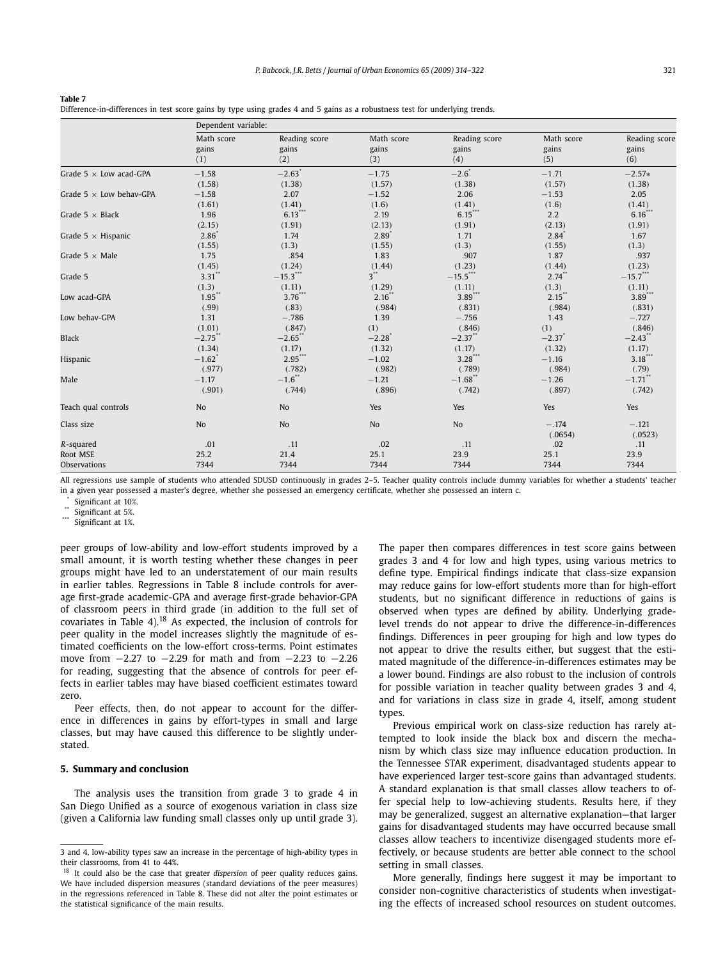| <b>Table 7</b>                                                                                                               |
|------------------------------------------------------------------------------------------------------------------------------|
| Difference-in-differences in test score gains by type using grades 4 and 5 gains as a robustness test for underlying trends. |

|                                | Dependent variable:  |                        |                     |                        |                      |                        |  |
|--------------------------------|----------------------|------------------------|---------------------|------------------------|----------------------|------------------------|--|
|                                | Math score<br>gains  | Reading score<br>gains | Math score<br>gains | Reading score<br>gains | Math score<br>gains  | Reading score<br>gains |  |
|                                | (1)                  | (2)                    | (3)                 | (4)                    | (5)                  | (6)                    |  |
| Grade $5 \times$ Low acad-GPA  | $-1.58$              | $-2.63$ <sup>*</sup>   | $-1.75$             | $-2.6$ <sup>*</sup>    | $-1.71$              | $-2.57*$               |  |
|                                | (1.58)               | (1.38)                 | (1.57)              | (1.38)                 | (1.57)               | (1.38)                 |  |
| Grade $5 \times$ Low behav-GPA | $-1.58$              | 2.07                   | $-1.52$             | 2.06                   | $-1.53$              | 2.05                   |  |
|                                | (1.61)               | (1.41)                 | (1.6)               | (1.41)                 | (1.6)                | (1.41)                 |  |
| Grade $5 \times$ Black         | 1.96                 | $6.13***$              | 2.19                | $6.15***$              | 2.2                  | $6.16***$              |  |
|                                | (2.15)               | (1.91)                 | (2.13)              | (1.91)                 | (2.13)               | (1.91)                 |  |
| Grade $5 \times$ Hispanic      | 2.86                 | 1.74                   | $2.89^{^{\circ}}$   | 1.71                   | $2.84$ <sup>*</sup>  | 1.67                   |  |
|                                | (1.55)               | (1.3)                  | (1.55)              | (1.3)                  | (1.55)               | (1.3)                  |  |
| Grade $5 \times$ Male          | 1.75                 | .854                   | 1.83                | .907                   | 1.87                 | .937                   |  |
|                                | (1.45)               | (1.24)                 | (1.44)              | (1.23)                 | (1.44)               | (1.23)                 |  |
| Grade 5                        | 3.31                 | $-15.3***$             | $3^{\ast\ast}$      | $-15.5$ ***            | 2.74                 | $-15.7$ ***            |  |
|                                | (1.3)                | (1.11)                 | (1.29)              | (1.11)                 | (1.3)                | (1.11)                 |  |
| Low acad-GPA                   | $1.95$ **            | $3.76***$              | $2.16$ **           | $3.89***$              | $2.15$ **            | $3.89***$              |  |
|                                | (.99)                | (.83)                  | (.984)              | (.831)                 | (.984)               | (.831)                 |  |
| Low behav-GPA                  | 1.31                 | $-.786$                | 1.39                | $-.756$                | 1.43                 | $-.727$                |  |
|                                | (1.01)               | (.847)                 | (1)                 | (.846)                 | (1)                  | (.846)                 |  |
| <b>Black</b>                   | $-2.75$ **           | $-2.65$                | $-2.28$             | $-2.37$ **             | $-2.37$ <sup>*</sup> | $-2.43$ <sup>**</sup>  |  |
|                                | (1.34)               | (1.17)                 | (1.32)              | (1.17)                 | (1.32)               | (1.17)                 |  |
| Hispanic                       | $-1.62$ <sup>*</sup> | $2.95***$              | $-1.02$             | $3.28***$              | $-1.16$              | $3.18***$              |  |
|                                | (.977)               | (.782)                 | (.982)              | (.789)                 | (.984)               | (.79)                  |  |
| Male                           | $-1.17$              | $-1.6$ **              | $-1.21$             | $-1.68$ **             | $-1.26$              | $-1.71$ <sup>*</sup>   |  |
|                                | (.901)               | (.744)                 | (.896)              | (.742)                 | (.897)               | (.742)                 |  |
| Teach qual controls            | N <sub>o</sub>       | N <sub>o</sub>         | Yes                 | Yes                    | Yes                  | Yes                    |  |
| Class size                     | N <sub>o</sub>       | N <sub>o</sub>         | No                  | No                     | $-.174$              | $-.121$                |  |
|                                |                      |                        |                     |                        | (.0654)              | (.0523)                |  |
| $R$ -squared                   | .01                  | .11                    | .02                 | .11                    | .02                  | .11                    |  |
| Root MSE                       | 25.2                 | 21.4                   | 25.1                | 23.9                   | 25.1                 | 23.9                   |  |
| Observations                   | 7344                 | 7344                   | 7344                | 7344                   | 7344                 | 7344                   |  |

All regressions use sample of students who attended SDUSD continuously in grades 2–5. Teacher quality controls include dummy variables for whether a students' teacher in a given year possessed a master's degree, whether she possessed an emergency certificate, whether she possessed an intern c.

Significant at 10%.

 $\frac{44}{100}$  Significant at 5%.

Significant at 1%.

peer groups of low-ability and low-effort students improved by a small amount, it is worth testing whether these changes in peer groups might have led to an understatement of our main results in earlier tables. Regressions in Table 8 include controls for average first-grade academic-GPA and average first-grade behavior-GPA of classroom peers in third grade (in addition to the full set of covariates in Table 4).<sup>18</sup> As expected, the inclusion of controls for peer quality in the model increases slightly the magnitude of estimated coefficients on the low-effort cross-terms. Point estimates move from −2.27 to −2.29 for math and from −2.23 to −2.26 for reading, suggesting that the absence of controls for peer effects in earlier tables may have biased coefficient estimates toward zero.

Peer effects, then, do not appear to account for the difference in differences in gains by effort-types in small and large classes, but may have caused this difference to be slightly understated.

# **5. Summary and conclusion**

The analysis uses the transition from grade 3 to grade 4 in San Diego Unified as a source of exogenous variation in class size (given a California law funding small classes only up until grade 3). The paper then compares differences in test score gains between grades 3 and 4 for low and high types, using various metrics to define type. Empirical findings indicate that class-size expansion may reduce gains for low-effort students more than for high-effort students, but no significant difference in reductions of gains is observed when types are defined by ability. Underlying gradelevel trends do not appear to drive the difference-in-differences findings. Differences in peer grouping for high and low types do not appear to drive the results either, but suggest that the estimated magnitude of the difference-in-differences estimates may be a lower bound. Findings are also robust to the inclusion of controls for possible variation in teacher quality between grades 3 and 4, and for variations in class size in grade 4, itself, among student types.

Previous empirical work on class-size reduction has rarely attempted to look inside the black box and discern the mechanism by which class size may influence education production. In the Tennessee STAR experiment, disadvantaged students appear to have experienced larger test-score gains than advantaged students. A standard explanation is that small classes allow teachers to offer special help to low-achieving students. Results here, if they may be generalized, suggest an alternative explanation—that larger gains for disadvantaged students may have occurred because small classes allow teachers to incentivize disengaged students more effectively, or because students are better able connect to the school setting in small classes.

More generally, findings here suggest it may be important to consider non-cognitive characteristics of students when investigating the effects of increased school resources on student outcomes.

<sup>3</sup> and 4, low-ability types saw an increase in the percentage of high-ability types in their classrooms, from 41 to 44%.

<sup>18</sup> It could also be the case that greater *dispersion* of peer quality reduces gains. We have included dispersion measures (standard deviations of the peer measures) in the regressions referenced in Table 8. These did not alter the point estimates or the statistical significance of the main results.